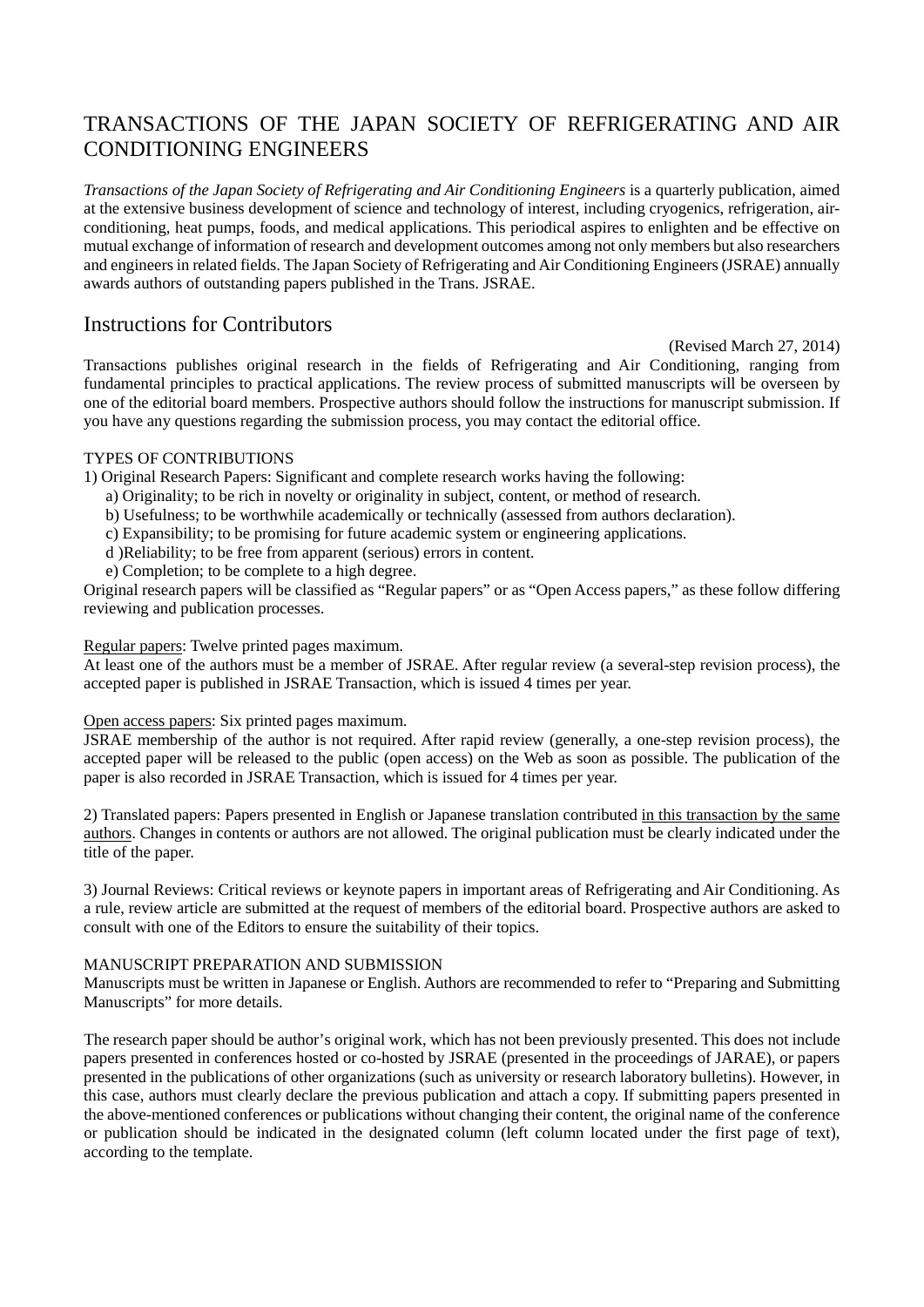# TRANSACTIONS OF THE JAPAN SOCIETY OF REFRIGERATING AND AIR CONDITIONING ENGINEERS

*Transactions of the Japan Society of Refrigerating and Air Conditioning Engineers* is a quarterly publication, aimed at the extensive business development of science and technology of interest, including cryogenics, refrigeration, airconditioning, heat pumps, foods, and medical applications. This periodical aspires to enlighten and be effective on mutual exchange of information of research and development outcomes among not only members but also researchers and engineers in related fields. The Japan Society of Refrigerating and Air Conditioning Engineers (JSRAE) annually awards authors of outstanding papers published in the Trans. JSRAE.

# Instructions for Contributors

(Revised March 27, 2014)

Transactions publishes original research in the fields of Refrigerating and Air Conditioning, ranging from fundamental principles to practical applications. The review process of submitted manuscripts will be overseen by one of the editorial board members. Prospective authors should follow the instructions for manuscript submission. If you have any questions regarding the submission process, you may contact the editorial office.

## TYPES OF CONTRIBUTIONS

1) Original Research Papers: Significant and complete research works having the following:

- a) Originality; to be rich in novelty or originality in subject, content, or method of research.
- b) Usefulness; to be worthwhile academically or technically (assessed from authors declaration).
- c) Expansibility; to be promising for future academic system or engineering applications.
- d )Reliability; to be free from apparent (serious) errors in content.
- e) Completion; to be complete to a high degree.

Original research papers will be classified as "Regular papers" or as "Open Access papers," as these follow differing reviewing and publication processes.

#### Regular papers: Twelve printed pages maximum.

At least one of the authors must be a member of JSRAE. After regular review (a several-step revision process), the accepted paper is published in JSRAE Transaction, which is issued 4 times per year.

#### Open access papers: Six printed pages maximum.

JSRAE membership of the author is not required. After rapid review (generally, a one-step revision process), the accepted paper will be released to the public (open access) on the Web as soon as possible. The publication of the paper is also recorded in JSRAE Transaction, which is issued for 4 times per year.

2) Translated papers: Papers presented in English or Japanese translation contributed in this transaction by the same authors. Changes in contents or authors are not allowed. The original publication must be clearly indicated under the title of the paper.

3) Journal Reviews: Critical reviews or keynote papers in important areas of Refrigerating and Air Conditioning. As a rule, review article are submitted at the request of members of the editorial board. Prospective authors are asked to consult with one of the Editors to ensure the suitability of their topics.

### MANUSCRIPT PREPARATION AND SUBMISSION

Manuscripts must be written in Japanese or English. Authors are recommended to refer to "Preparing and Submitting Manuscripts" for more details.

The research paper should be author's original work, which has not been previously presented. This does not include papers presented in conferences hosted or co-hosted by JSRAE (presented in the proceedings of JARAE), or papers presented in the publications of other organizations (such as university or research laboratory bulletins). However, in this case, authors must clearly declare the previous publication and attach a copy. If submitting papers presented in the above-mentioned conferences or publications without changing their content, the original name of the conference or publication should be indicated in the designated column (left column located under the first page of text), according to the template.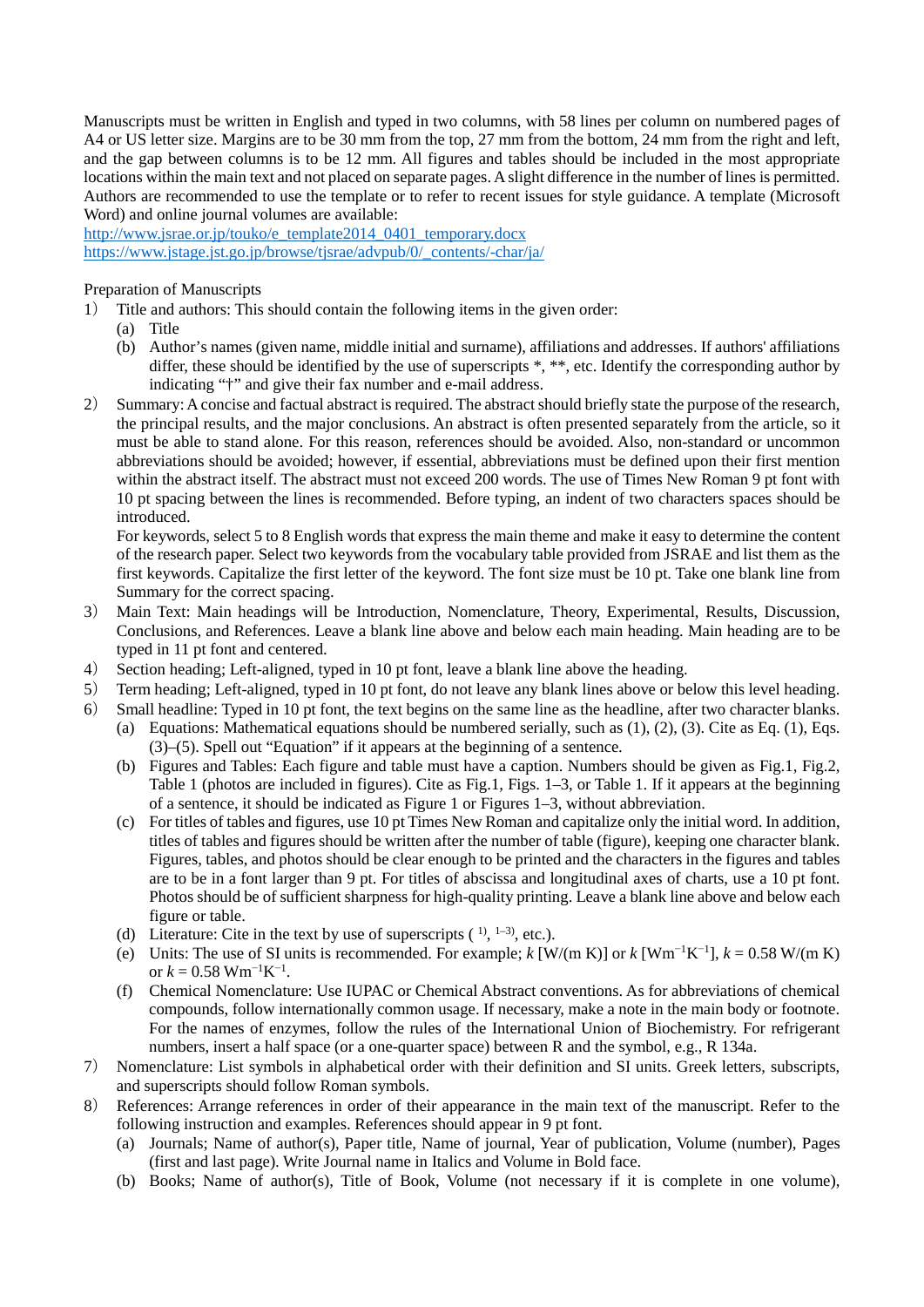Manuscripts must be written in English and typed in two columns, with 58 lines per column on numbered pages of A4 or US letter size. Margins are to be 30 mm from the top, 27 mm from the bottom, 24 mm from the right and left, and the gap between columns is to be 12 mm. All figures and tables should be included in the most appropriate locations within the main text and not placed on separate pages. A slight difference in the number of lines is permitted. Authors are recommended to use the template or to refer to recent issues for style guidance. A template (Microsoft Word) and online journal volumes are available:

[http://www.jsrae.or.jp/touko/e\\_template2014\\_0401\\_temporary.docx](http://www.jsrae.or.jp/touko/e_template2014_0401_temporary.docx) [https://www.jstage.jst.go.jp/browse/tjsrae/advpub/0/\\_contents/-char/ja/](https://www.jstage.jst.go.jp/browse/tjsrae/advpub/0/_contents/-char/ja/)

#### Preparation of Manuscripts

- 1) Title and authors: This should contain the following items in the given order:
	- (a) Title
	- (b) Author's names (given name, middle initial and surname), affiliations and addresses. If authors' affiliations differ, these should be identified by the use of superscripts \*, \*\*, etc. Identify the corresponding author by indicating "†" and give their fax number and e-mail address.
- 2) Summary: A concise and factual abstract is required. The abstract should briefly state the purpose of the research, the principal results, and the major conclusions. An abstract is often presented separately from the article, so it must be able to stand alone. For this reason, references should be avoided. Also, non-standard or uncommon abbreviations should be avoided; however, if essential, abbreviations must be defined upon their first mention within the abstract itself. The abstract must not exceed 200 words. The use of Times New Roman 9 pt font with 10 pt spacing between the lines is recommended. Before typing, an indent of two characters spaces should be introduced.

For keywords, select 5 to 8 English words that express the main theme and make it easy to determine the content of the research paper. Select two keywords from the vocabulary table provided from JSRAE and list them as the first keywords. Capitalize the first letter of the keyword. The font size must be 10 pt. Take one blank line from Summary for the correct spacing.

- 3) Main Text: Main headings will be Introduction, Nomenclature, Theory, Experimental, Results, Discussion, Conclusions, and References. Leave a blank line above and below each main heading. Main heading are to be typed in 11 pt font and centered.
- 4) Section heading; Left-aligned, typed in 10 pt font, leave a blank line above the heading.
- 5) Term heading; Left-aligned, typed in 10 pt font, do not leave any blank lines above or below this level heading.
- 6) Small headline: Typed in 10 pt font, the text begins on the same line as the headline, after two character blanks.
	- (a) Equations: Mathematical equations should be numbered serially, such as  $(1)$ ,  $(2)$ ,  $(3)$ . Cite as Eq.  $(1)$ , Eqs. (3)–(5). Spell out "Equation" if it appears at the beginning of a sentence.
		- (b) Figures and Tables: Each figure and table must have a caption. Numbers should be given as Fig.1, Fig.2, Table 1 (photos are included in figures). Cite as Fig.1, Figs. 1–3, or Table 1. If it appears at the beginning of a sentence, it should be indicated as Figure 1 or Figures 1–3, without abbreviation.
		- (c) For titles of tables and figures, use 10 pt Times New Roman and capitalize only the initial word. In addition, titles of tables and figures should be written after the number of table (figure), keeping one character blank. Figures, tables, and photos should be clear enough to be printed and the characters in the figures and tables are to be in a font larger than 9 pt. For titles of abscissa and longitudinal axes of charts, use a 10 pt font. Photos should be of sufficient sharpness for high-quality printing. Leave a blank line above and below each figure or table.
		- (d) Literature: Cite in the text by use of superscripts  $(1, 1-3)$ , etc.).
		- (e) Units: The use of SI units is recommended. For example; *k* [W/(m K)] or *k* [Wm<sup>−</sup>1K−1], *k* = 0.58 W/(m K) or  $k = 0.58$  Wm<sup>-1</sup>K<sup>-1</sup>.
		- (f) Chemical Nomenclature: Use IUPAC or Chemical Abstract conventions. As for abbreviations of chemical compounds, follow internationally common usage. If necessary, make a note in the main body or footnote. For the names of enzymes, follow the rules of the International Union of Biochemistry. For refrigerant numbers, insert a half space (or a one-quarter space) between R and the symbol, e.g., R 134a.
- 7) Nomenclature: List symbols in alphabetical order with their definition and SI units. Greek letters, subscripts, and superscripts should follow Roman symbols.
- 8) References: Arrange references in order of their appearance in the main text of the manuscript. Refer to the following instruction and examples. References should appear in 9 pt font.
	- (a) Journals; Name of author(s), Paper title, Name of journal, Year of publication, Volume (number), Pages (first and last page). Write Journal name in Italics and Volume in Bold face.
	- (b) Books; Name of author(s), Title of Book, Volume (not necessary if it is complete in one volume),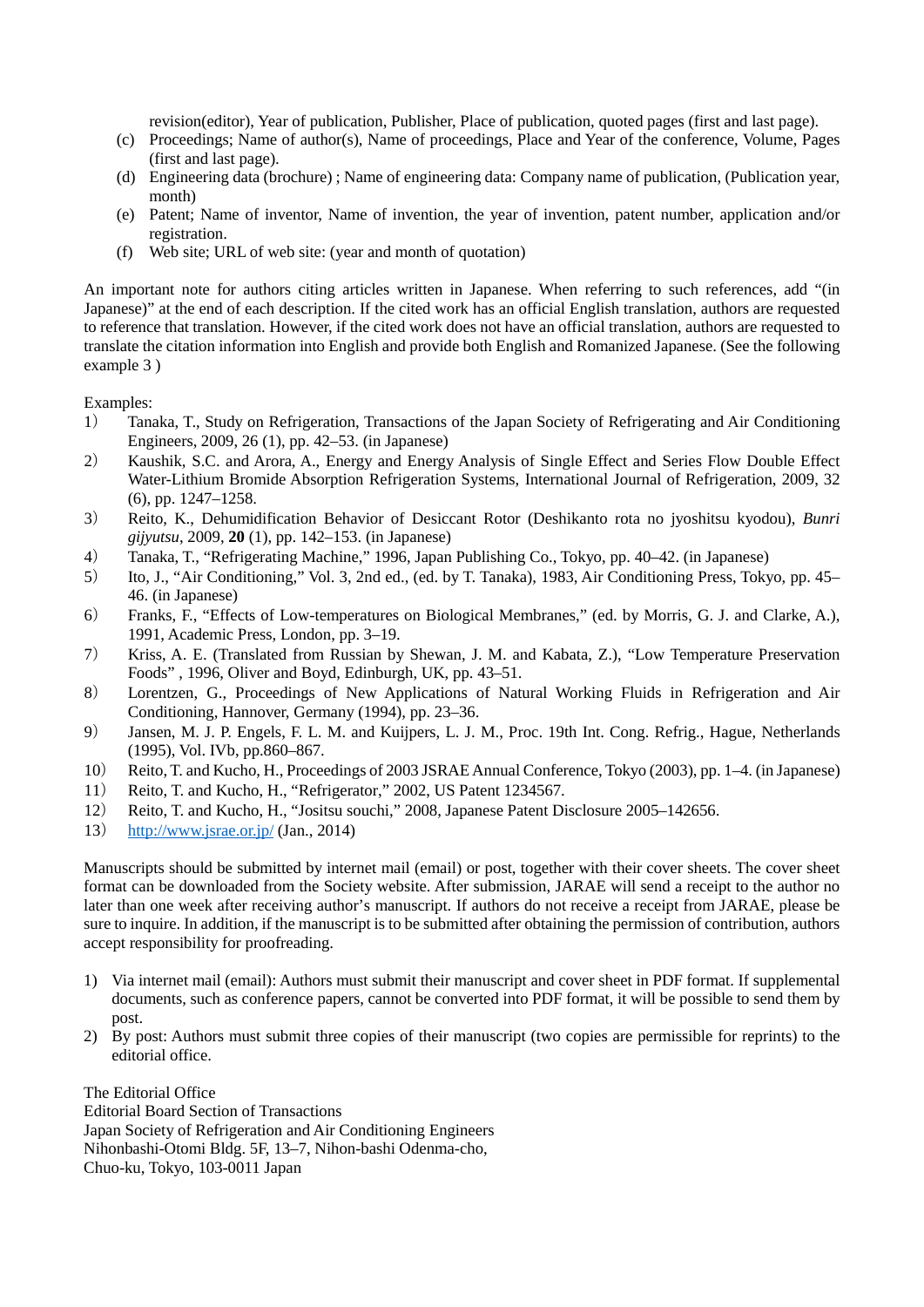revision(editor), Year of publication, Publisher, Place of publication, quoted pages (first and last page).

- (c) Proceedings; Name of author(s), Name of proceedings, Place and Year of the conference, Volume, Pages (first and last page).
- (d) Engineering data (brochure) ; Name of engineering data: Company name of publication, (Publication year, month)
- (e) Patent; Name of inventor, Name of invention, the year of invention, patent number, application and/or registration.
- (f) Web site; URL of web site: (year and month of quotation)

An important note for authors citing articles written in Japanese. When referring to such references, add "(in Japanese)" at the end of each description. If the cited work has an official English translation, authors are requested to reference that translation. However, if the cited work does not have an official translation, authors are requested to translate the citation information into English and provide both English and Romanized Japanese. (See the following example 3 )

Examples:

- 1) Tanaka, T., Study on Refrigeration, Transactions of the Japan Society of Refrigerating and Air Conditioning Engineers, 2009, 26 (1), pp. 42–53. (in Japanese)
- 2) Kaushik, S.C. and Arora, A., Energy and Energy Analysis of Single Effect and Series Flow Double Effect Water-Lithium Bromide Absorption Refrigeration Systems, International Journal of Refrigeration, 2009, 32 (6), pp. 1247–1258.
- 3) Reito, K., Dehumidification Behavior of Desiccant Rotor (Deshikanto rota no jyoshitsu kyodou), *Bunri gijyutsu*, 2009, **20** (1), pp. 142–153. (in Japanese)
- 4) Tanaka, T., "Refrigerating Machine," 1996, Japan Publishing Co., Tokyo, pp. 40–42. (in Japanese)
- 5) Ito, J., "Air Conditioning," Vol. 3, 2nd ed., (ed. by T. Tanaka), 1983, Air Conditioning Press, Tokyo, pp. 45– 46. (in Japanese)
- 6) Franks, F., "Effects of Low-temperatures on Biological Membranes," (ed. by Morris, G. J. and Clarke, A.), 1991, Academic Press, London, pp. 3–19.
- 7) Kriss, A. E. (Translated from Russian by Shewan, J. M. and Kabata, Z.), "Low Temperature Preservation Foods" , 1996, Oliver and Boyd, Edinburgh, UK, pp. 43–51.
- 8) Lorentzen, G., Proceedings of New Applications of Natural Working Fluids in Refrigeration and Air Conditioning, Hannover, Germany (1994), pp. 23–36.
- 9) Jansen, M. J. P. Engels, F. L. M. and Kuijpers, L. J. M., Proc. 19th Int. Cong. Refrig., Hague, Netherlands (1995), Vol. IVb, pp.860–867.
- 10) Reito, T. and Kucho, H., Proceedings of 2003 JSRAE Annual Conference, Tokyo (2003), pp. 1–4. (in Japanese)
- 11) Reito, T. and Kucho, H., "Refrigerator," 2002, US Patent 1234567.
- 12) Reito, T. and Kucho, H., "Jositsu souchi," 2008, Japanese Patent Disclosure 2005–142656.
- 13) [http://www.jsrae.or.jp/ \(](http://www.jsrae.or.jp/)Jan., 2014)

Manuscripts should be submitted by internet mail (email) or post, together with their cover sheets. The cover sheet format can be downloaded from the Society website. After submission, JARAE will send a receipt to the author no later than one week after receiving author's manuscript. If authors do not receive a receipt from JARAE, please be sure to inquire. In addition, if the manuscript is to be submitted after obtaining the permission of contribution, authors accept responsibility for proofreading.

- 1) Via internet mail (email): Authors must submit their manuscript and cover sheet in PDF format. If supplemental documents, such as conference papers, cannot be converted into PDF format, it will be possible to send them by post.
- 2) By post: Authors must submit three copies of their manuscript (two copies are permissible for reprints) to the editorial office.

The Editorial Office Editorial Board Section of Transactions Japan Society of Refrigeration and Air Conditioning Engineers Nihonbashi-Otomi Bldg. 5F, 13–7, Nihon-bashi Odenma-cho, Chuo-ku, Tokyo, 103-0011 Japan